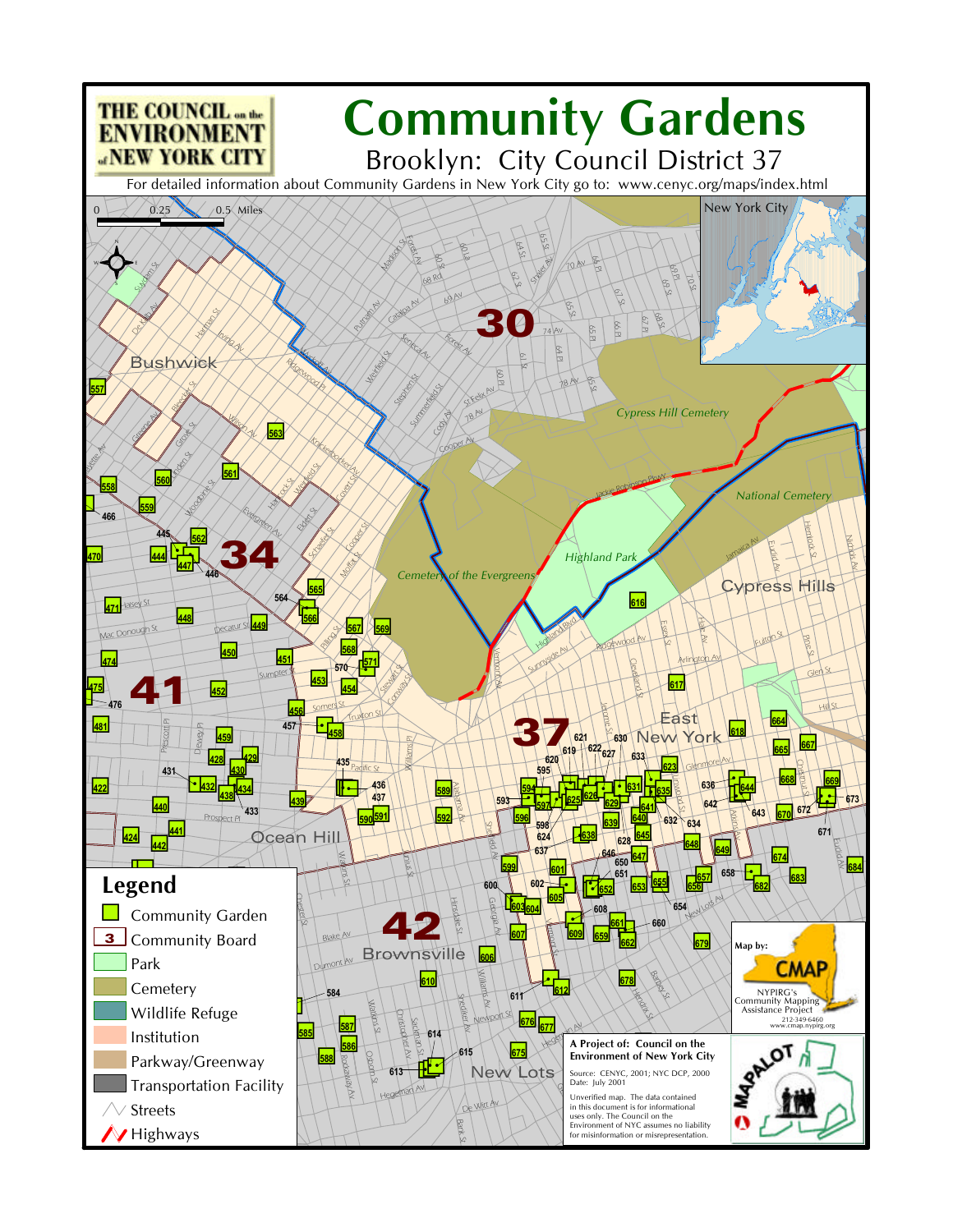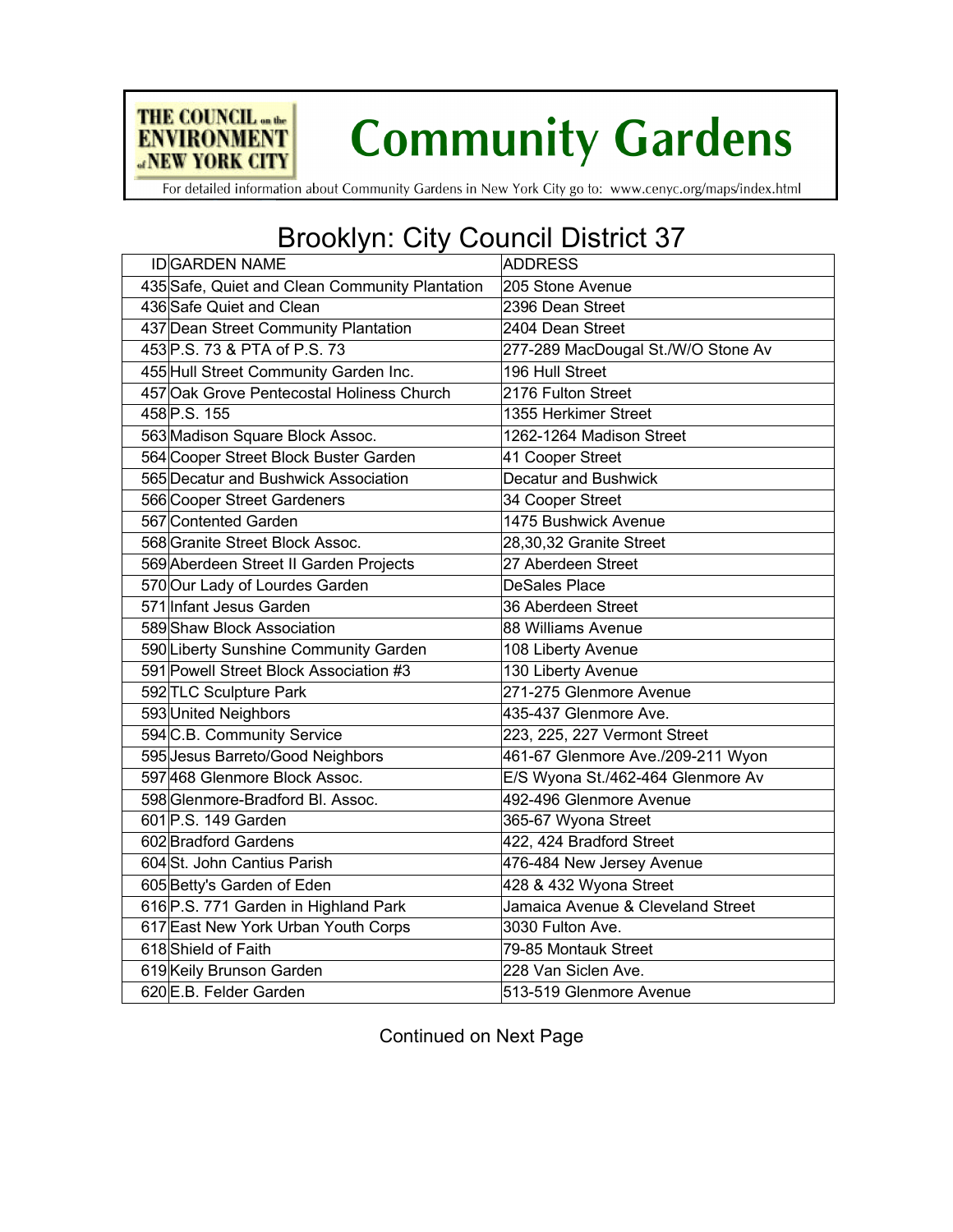

For detailed information about Community Gardens in New York City go to: www.cenyc.org/maps/index.html

THE COUNCIL on the

**ENVIRONMENT ANEW YORK CITY** 

## Brooklyn: City Council District 37

| <b>IDGARDEN NAME</b>                           | <b>ADDRESS</b>                     |
|------------------------------------------------|------------------------------------|
| 435 Safe, Quiet and Clean Community Plantation | 205 Stone Avenue                   |
| 436 Safe Quiet and Clean                       | 2396 Dean Street                   |
| 437 Dean Street Community Plantation           | 2404 Dean Street                   |
| 453 P.S. 73 & PTA of P.S. 73                   | 277-289 MacDougal St./W/O Stone Av |
| 455 Hull Street Community Garden Inc.          | 196 Hull Street                    |
| 457 Oak Grove Pentecostal Holiness Church      | 2176 Fulton Street                 |
| 458 P.S. 155                                   | 1355 Herkimer Street               |
| 563 Madison Square Block Assoc.                | 1262-1264 Madison Street           |
| 564 Cooper Street Block Buster Garden          | 41 Cooper Street                   |
| 565 Decatur and Bushwick Association           | Decatur and Bushwick               |
| 566 Cooper Street Gardeners                    | 34 Cooper Street                   |
| 567 Contented Garden                           | 1475 Bushwick Avenue               |
| 568 Granite Street Block Assoc.                | 28,30,32 Granite Street            |
| 569 Aberdeen Street II Garden Projects         | 27 Aberdeen Street                 |
| 570 Our Lady of Lourdes Garden                 | <b>DeSales Place</b>               |
| 571 Infant Jesus Garden                        | 36 Aberdeen Street                 |
| 589 Shaw Block Association                     | 88 Williams Avenue                 |
| 590 Liberty Sunshine Community Garden          | 108 Liberty Avenue                 |
| 591 Powell Street Block Association #3         | 130 Liberty Avenue                 |
| 592 TLC Sculpture Park                         | 271-275 Glenmore Avenue            |
| 593 United Neighbors                           | 435-437 Glenmore Ave.              |
| 594 C.B. Community Service                     | 223, 225, 227 Vermont Street       |
| 595 Jesus Barreto/Good Neighbors               | 461-67 Glenmore Ave./209-211 Wyon  |
| 597468 Glenmore Block Assoc.                   | E/S Wyona St./462-464 Glenmore Av  |
| 598 Glenmore-Bradford Bl. Assoc.               | 492-496 Glenmore Avenue            |
| 601 P.S. 149 Garden                            | 365-67 Wyona Street                |
| 602 Bradford Gardens                           | 422, 424 Bradford Street           |
| 604 St. John Cantius Parish                    | 476-484 New Jersey Avenue          |
| 605 Betty's Garden of Eden                     | 428 & 432 Wyona Street             |
| 616 P.S. 771 Garden in Highland Park           | Jamaica Avenue & Cleveland Street  |
| 617 East New York Urban Youth Corps            | 3030 Fulton Ave.                   |
| 618 Shield of Faith                            | 79-85 Montauk Street               |
| 619 Keily Brunson Garden                       | 228 Van Siclen Ave.                |
| 620 E.B. Felder Garden                         | 513-519 Glenmore Avenue            |

Continued on Next Page